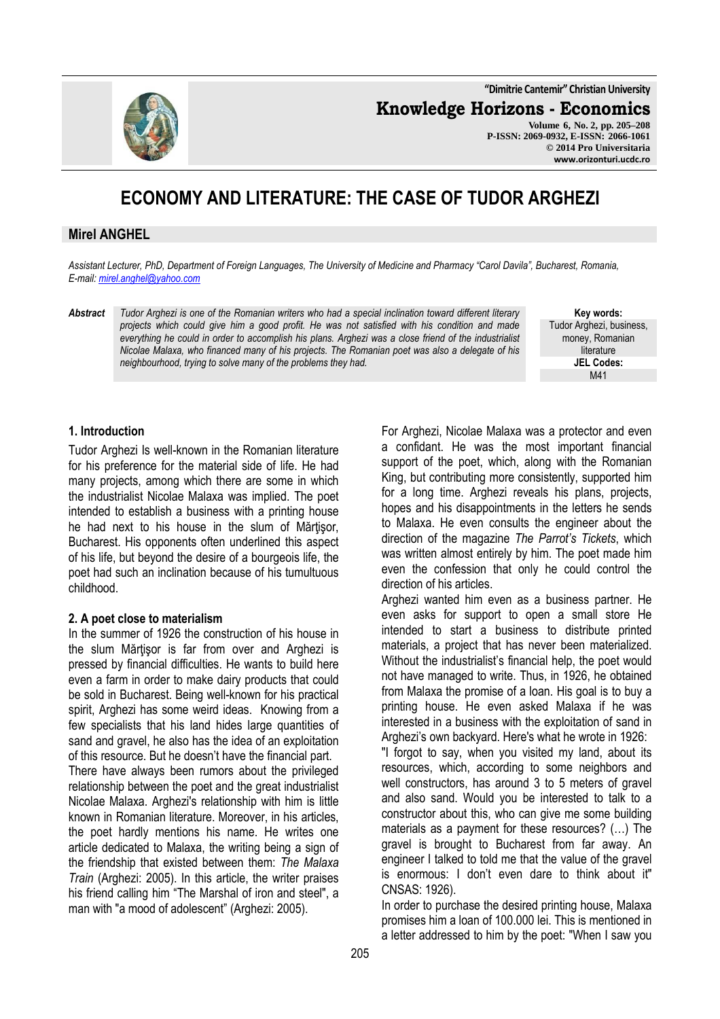**"Dimitrie Cantemir" Christian University**

**Knowledge Horizons - Economics**

**Volume 6, No. 2, pp. 205–208 P-ISSN: 2069-0932, E-ISSN: 2066-1061 © 2014 Pro Universitaria www.orizonturi.ucdc.ro**

# **ECONOMY AND LITERATURE: THE CASE OF TUDOR ARGHEZI**

# **Mirel ANGHEL**

*Assistant Lecturer, PhD, Department of Foreign Languages, The University of Medicine and Pharmacy "Carol Davila", Bucharest, Romania, E-mail: mirel.anghel@yahoo.com* 

*Abstract Tudor Arghezi is one of the Romanian writers who had a special inclination toward different literary projects which could give him a good profit. He was not satisfied with his condition and made everything he could in order to accomplish his plans. Arghezi was a close friend of the industrialist Nicolae Malaxa, who financed many of his projects. The Romanian poet was also a delegate of his neighbourhood, trying to solve many of the problems they had.* 

**Key words:** Tudor Arghezi, business, money, Romanian literature **JEL Codes:** M41

### **1. Introduction**

Tudor Arghezi Is well-known in the Romanian literature for his preference for the material side of life. He had many projects, among which there are some in which the industrialist Nicolae Malaxa was implied. The poet intended to establish a business with a printing house he had next to his house in the slum of Mărtisor, Bucharest. His opponents often underlined this aspect of his life, but beyond the desire of a bourgeois life, the poet had such an inclination because of his tumultuous childhood.

#### **2. A poet close to materialism**

In the summer of 1926 the construction of his house in the slum Mărtisor is far from over and Arghezi is pressed by financial difficulties. He wants to build here even a farm in order to make dairy products that could be sold in Bucharest. Being well-known for his practical spirit, Arghezi has some weird ideas. Knowing from a few specialists that his land hides large quantities of sand and gravel, he also has the idea of an exploitation of this resource. But he doesn't have the financial part.

There have always been rumors about the privileged relationship between the poet and the great industrialist Nicolae Malaxa. Arghezi's relationship with him is little known in Romanian literature. Moreover, in his articles, the poet hardly mentions his name. He writes one article dedicated to Malaxa, the writing being a sign of the friendship that existed between them: *The Malaxa Train* (Arghezi: 2005). In this article, the writer praises his friend calling him "The Marshal of iron and steel", a man with "a mood of adolescent" (Arghezi: 2005).

For Arghezi, Nicolae Malaxa was a protector and even a confidant. He was the most important financial support of the poet, which, along with the Romanian King, but contributing more consistently, supported him for a long time. Arghezi reveals his plans, projects, hopes and his disappointments in the letters he sends to Malaxa. He even consults the engineer about the direction of the magazine *The Parrot's Tickets*, which was written almost entirely by him. The poet made him even the confession that only he could control the direction of his articles.

Arghezi wanted him even as a business partner. He even asks for support to open a small store He intended to start a business to distribute printed materials, a project that has never been materialized. Without the industrialist's financial help, the poet would not have managed to write. Thus, in 1926, he obtained from Malaxa the promise of a loan. His goal is to buy a printing house. He even asked Malaxa if he was interested in a business with the exploitation of sand in Arghezi's own backyard. Here's what he wrote in 1926:

"I forgot to say, when you visited my land, about its resources, which, according to some neighbors and well constructors, has around 3 to 5 meters of gravel and also sand. Would you be interested to talk to a constructor about this, who can give me some building materials as a payment for these resources? (…) The gravel is brought to Bucharest from far away. An engineer I talked to told me that the value of the gravel is enormous: I don't even dare to think about it" CNSAS: 1926).

In order to purchase the desired printing house, Malaxa promises him a loan of 100.000 lei. This is mentioned in a letter addressed to him by the poet: "When I saw you

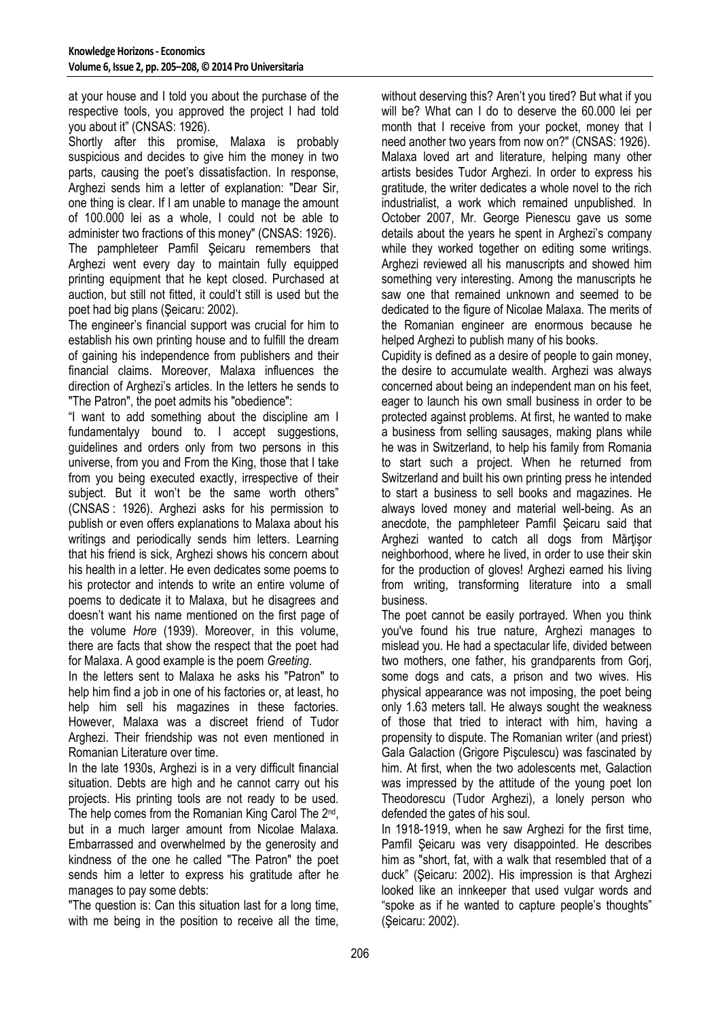at your house and I told you about the purchase of the respective tools, you approved the project I had told you about it" (CNSAS: 1926).

Shortly after this promise, Malaxa is probably suspicious and decides to give him the money in two parts, causing the poet's dissatisfaction. In response, Arghezi sends him a letter of explanation: "Dear Sir, one thing is clear. If I am unable to manage the amount of 100.000 lei as a whole, I could not be able to administer two fractions of this money" (CNSAS: 1926). The pamphleteer Pamfil Şeicaru remembers that Arghezi went every day to maintain fully equipped printing equipment that he kept closed. Purchased at auction, but still not fitted, it could't still is used but the poet had big plans (Şeicaru: 2002).

The engineer's financial support was crucial for him to establish his own printing house and to fulfill the dream of gaining his independence from publishers and their financial claims. Moreover, Malaxa influences the direction of Arghezi's articles. In the letters he sends to "The Patron", the poet admits his "obedience":

"I want to add something about the discipline am I fundamentalyy bound to. I accept suggestions, guidelines and orders only from two persons in this universe, from you and From the King, those that I take from you being executed exactly, irrespective of their subject. But it won't be the same worth others" (CNSAS : 1926). Arghezi asks for his permission to publish or even offers explanations to Malaxa about his writings and periodically sends him letters. Learning that his friend is sick, Arghezi shows his concern about his health in a letter. He even dedicates some poems to his protector and intends to write an entire volume of poems to dedicate it to Malaxa, but he disagrees and doesn't want his name mentioned on the first page of the volume *Hore* (1939). Moreover, in this volume, there are facts that show the respect that the poet had for Malaxa. A good example is the poem *Greeting*.

In the letters sent to Malaxa he asks his "Patron" to help him find a job in one of his factories or, at least, ho help him sell his magazines in these factories. However, Malaxa was a discreet friend of Tudor Arghezi. Their friendship was not even mentioned in Romanian Literature over time.

In the late 1930s, Arghezi is in a very difficult financial situation. Debts are high and he cannot carry out his projects. His printing tools are not ready to be used. The help comes from the Romanian King Carol The 2<sup>nd</sup>, but in a much larger amount from Nicolae Malaxa. Embarrassed and overwhelmed by the generosity and kindness of the one he called "The Patron" the poet sends him a letter to express his gratitude after he manages to pay some debts:

"The question is: Can this situation last for a long time, with me being in the position to receive all the time, without deserving this? Aren't you tired? But what if you will be? What can I do to deserve the 60.000 lei per month that I receive from your pocket, money that I need another two years from now on?" (CNSAS: 1926). Malaxa loved art and literature, helping many other artists besides Tudor Arghezi. In order to express his gratitude, the writer dedicates a whole novel to the rich industrialist, a work which remained unpublished. In October 2007, Mr. George Pienescu gave us some details about the years he spent in Arghezi's company while they worked together on editing some writings. Arghezi reviewed all his manuscripts and showed him something very interesting. Among the manuscripts he saw one that remained unknown and seemed to be dedicated to the figure of Nicolae Malaxa. The merits of the Romanian engineer are enormous because he helped Arghezi to publish many of his books.

Cupidity is defined as a desire of people to gain money, the desire to accumulate wealth. Arghezi was always concerned about being an independent man on his feet, eager to launch his own small business in order to be protected against problems. At first, he wanted to make a business from selling sausages, making plans while he was in Switzerland, to help his family from Romania to start such a project. When he returned from Switzerland and built his own printing press he intended to start a business to sell books and magazines. He always loved money and material well-being. As an anecdote, the pamphleteer Pamfil Şeicaru said that Arghezi wanted to catch all dogs from Mărtisor neighborhood, where he lived, in order to use their skin for the production of gloves! Arghezi earned his living from writing, transforming literature into a small business.

The poet cannot be easily portrayed. When you think you've found his true nature, Arghezi manages to mislead you. He had a spectacular life, divided between two mothers, one father, his grandparents from Gorj, some dogs and cats, a prison and two wives. His physical appearance was not imposing, the poet being only 1.63 meters tall. He always sought the weakness of those that tried to interact with him, having a propensity to dispute. The Romanian writer (and priest) Gala Galaction (Grigore Pişculescu) was fascinated by him. At first, when the two adolescents met, Galaction was impressed by the attitude of the young poet Ion Theodorescu (Tudor Arghezi), a lonely person who defended the gates of his soul.

In 1918-1919, when he saw Arghezi for the first time, Pamfil Şeicaru was very disappointed. He describes him as "short, fat, with a walk that resembled that of a duck" (Şeicaru: 2002). His impression is that Arghezi looked like an innkeeper that used vulgar words and "spoke as if he wanted to capture people's thoughts" (Şeicaru: 2002).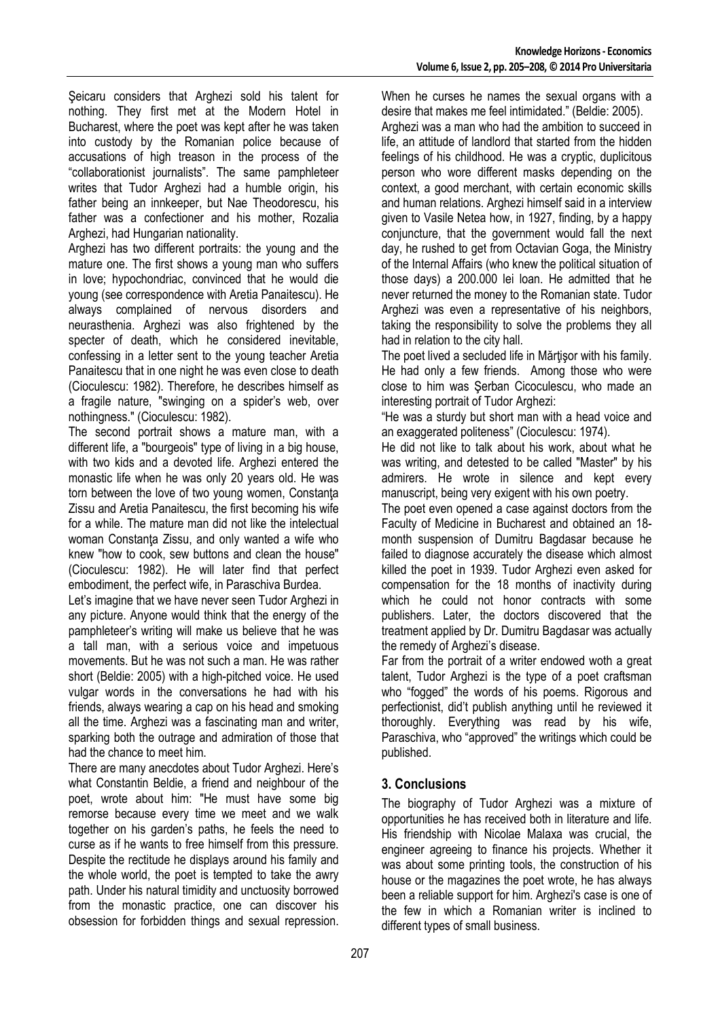Şeicaru considers that Arghezi sold his talent for nothing. They first met at the Modern Hotel in Bucharest, where the poet was kept after he was taken into custody by the Romanian police because of accusations of high treason in the process of the "collaborationist journalists". The same pamphleteer writes that Tudor Arghezi had a humble origin, his father being an innkeeper, but Nae Theodorescu, his father was a confectioner and his mother, Rozalia Arghezi, had Hungarian nationality.

Arghezi has two different portraits: the young and the mature one. The first shows a young man who suffers in love; hypochondriac, convinced that he would die young (see correspondence with Aretia Panaitescu). He always complained of nervous disorders and neurasthenia. Arghezi was also frightened by the specter of death, which he considered inevitable, confessing in a letter sent to the young teacher Aretia Panaitescu that in one night he was even close to death (Cioculescu: 1982). Therefore, he describes himself as a fragile nature, "swinging on a spider's web, over nothingness." (Cioculescu: 1982).

The second portrait shows a mature man, with a different life, a "bourgeois" type of living in a big house, with two kids and a devoted life. Arghezi entered the monastic life when he was only 20 years old. He was torn between the love of two young women, Constanţa Zissu and Aretia Panaitescu, the first becoming his wife for a while. The mature man did not like the intelectual woman Constanta Zissu, and only wanted a wife who knew "how to cook, sew buttons and clean the house" (Cioculescu: 1982). He will later find that perfect embodiment, the perfect wife, in Paraschiva Burdea.

Let's imagine that we have never seen Tudor Arghezi in any picture. Anyone would think that the energy of the pamphleteer's writing will make us believe that he was a tall man, with a serious voice and impetuous movements. But he was not such a man. He was rather short (Beldie: 2005) with a high-pitched voice. He used vulgar words in the conversations he had with his friends, always wearing a cap on his head and smoking all the time. Arghezi was a fascinating man and writer, sparking both the outrage and admiration of those that had the chance to meet him.

There are many anecdotes about Tudor Arghezi. Here's what Constantin Beldie, a friend and neighbour of the poet, wrote about him: "He must have some big remorse because every time we meet and we walk together on his garden's paths, he feels the need to curse as if he wants to free himself from this pressure. Despite the rectitude he displays around his family and the whole world, the poet is tempted to take the awry path. Under his natural timidity and unctuosity borrowed from the monastic practice, one can discover his obsession for forbidden things and sexual repression.

When he curses he names the sexual organs with a desire that makes me feel intimidated." (Beldie: 2005).

Arghezi was a man who had the ambition to succeed in life, an attitude of landlord that started from the hidden feelings of his childhood. He was a cryptic, duplicitous person who wore different masks depending on the context, a good merchant, with certain economic skills and human relations. Arghezi himself said in a interview given to Vasile Netea how, in 1927, finding, by a happy conjuncture, that the government would fall the next day, he rushed to get from Octavian Goga, the Ministry of the Internal Affairs (who knew the political situation of those days) a 200.000 lei loan. He admitted that he never returned the money to the Romanian state. Tudor Arghezi was even a representative of his neighbors, taking the responsibility to solve the problems they all had in relation to the city hall.

The poet lived a secluded life in Mărtisor with his family. He had only a few friends. Among those who were close to him was Şerban Cicoculescu, who made an interesting portrait of Tudor Arghezi:

"He was a sturdy but short man with a head voice and an exaggerated politeness" (Cioculescu: 1974).

He did not like to talk about his work, about what he was writing, and detested to be called "Master" by his admirers. He wrote in silence and kept every manuscript, being very exigent with his own poetry.

The poet even opened a case against doctors from the Faculty of Medicine in Bucharest and obtained an 18 month suspension of Dumitru Bagdasar because he failed to diagnose accurately the disease which almost killed the poet in 1939. Tudor Arghezi even asked for compensation for the 18 months of inactivity during which he could not honor contracts with some publishers. Later, the doctors discovered that the treatment applied by Dr. Dumitru Bagdasar was actually the remedy of Arghezi's disease.

Far from the portrait of a writer endowed woth a great talent, Tudor Arghezi is the type of a poet craftsman who "fogged" the words of his poems. Rigorous and perfectionist, did't publish anything until he reviewed it thoroughly. Everything was read by his wife, Paraschiva, who "approved" the writings which could be published.

# **3. Conclusions**

The biography of Tudor Arghezi was a mixture of opportunities he has received both in literature and life. His friendship with Nicolae Malaxa was crucial, the engineer agreeing to finance his projects. Whether it was about some printing tools, the construction of his house or the magazines the poet wrote, he has always been a reliable support for him. Arghezi's case is one of the few in which a Romanian writer is inclined to different types of small business.